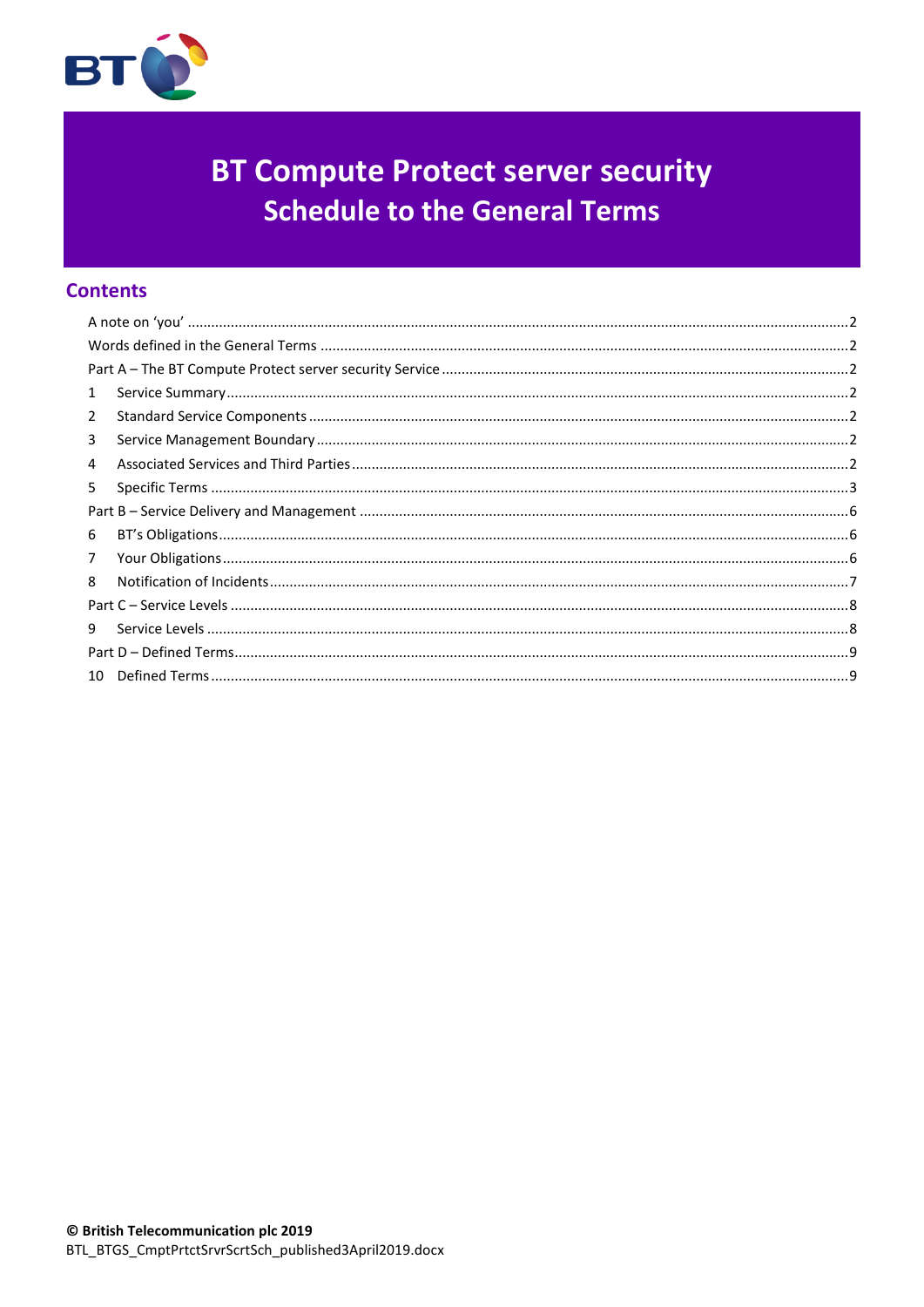

# **BT Compute Protect server security Schedule to the General Terms**

# **Contents**

| 1              |  |  |
|----------------|--|--|
| $\overline{2}$ |  |  |
| 3              |  |  |
| 4              |  |  |
| 5              |  |  |
|                |  |  |
| 6              |  |  |
| 7              |  |  |
| 8              |  |  |
|                |  |  |
| 9              |  |  |
|                |  |  |
|                |  |  |
|                |  |  |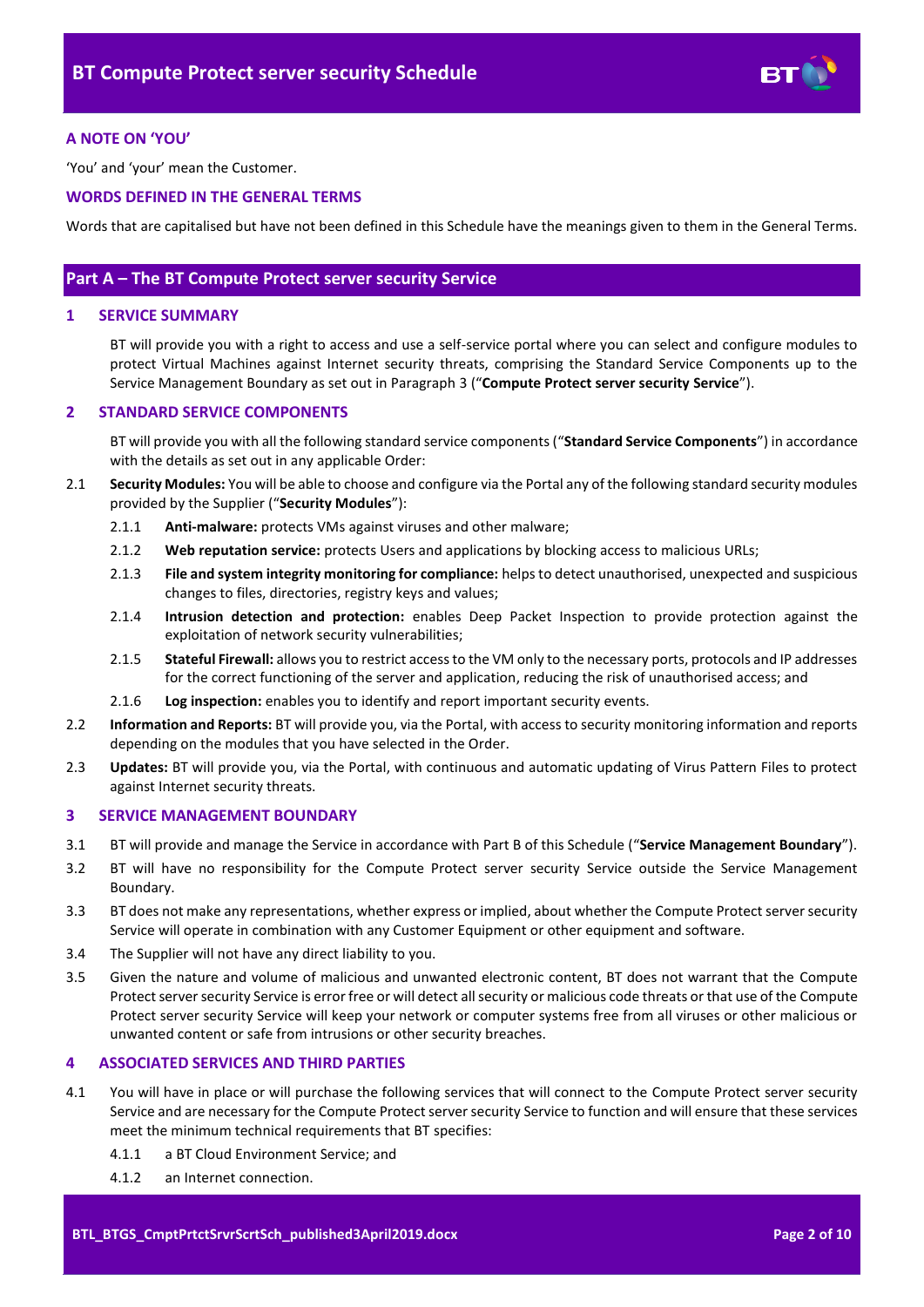

# <span id="page-1-0"></span>**A NOTE ON 'YOU'**

'You' and 'your' mean the Customer.

# <span id="page-1-1"></span>**WORDS DEFINED IN THE GENERAL TERMS**

Words that are capitalised but have not been defined in this Schedule have the meanings given to them in the General Terms.

# <span id="page-1-2"></span>**Part A – The BT Compute Protect server security Service**

# <span id="page-1-3"></span>**1 SERVICE SUMMARY**

BT will provide you with a right to access and use a self-service portal where you can select and configure modules to protect Virtual Machines against Internet security threats, comprising the Standard Service Components up to the Service Management Boundary as set out in Paragraph [3](#page-1-5) ("**Compute Protect server security Service**").

# <span id="page-1-4"></span>**2 STANDARD SERVICE COMPONENTS**

BT will provide you with all the following standard service components ("**Standard Service Components**") in accordance with the details as set out in any applicable Order:

- <span id="page-1-8"></span>2.1 **Security Modules:** You will be able to choose and configure via the Portal any of the following standard security modules provided by the Supplier ("**Security Modules**"):
	- 2.1.1 **Anti-malware:** protects VMs against viruses and other malware;
	- 2.1.2 **Web reputation service:** protects Users and applications by blocking access to malicious URLs;
	- 2.1.3 **File and system integrity monitoring for compliance:** helps to detect unauthorised, unexpected and suspicious changes to files, directories, registry keys and values;
	- 2.1.4 **Intrusion detection and protection:** enables Deep Packet Inspection to provide protection against the exploitation of network security vulnerabilities;
	- 2.1.5 **Stateful Firewall:** allows you to restrict access to the VM only to the necessary ports, protocols and IP addresses for the correct functioning of the server and application, reducing the risk of unauthorised access; and
	- 2.1.6 **Log inspection:** enables you to identify and report important security events.
- 2.2 **Information and Reports:** BT will provide you, via the Portal, with access to security monitoring information and reports depending on the modules that you have selected in the Order.
- 2.3 **Updates:** BT will provide you, via the Portal, with continuous and automatic updating of Virus Pattern Files to protect against Internet security threats.

#### <span id="page-1-5"></span>**3 SERVICE MANAGEMENT BOUNDARY**

- <span id="page-1-9"></span>3.1 BT will provide and manage the Service in accordance with Part B of this Schedule ("**Service Management Boundary**").
- 3.2 BT will have no responsibility for the Compute Protect server security Service outside the Service Management Boundary.
- 3.3 BT does not make any representations, whether express or implied, about whether the Compute Protect server security Service will operate in combination with any Customer Equipment or other equipment and software.
- 3.4 The Supplier will not have any direct liability to you.
- 3.5 Given the nature and volume of malicious and unwanted electronic content, BT does not warrant that the Compute Protect server security Service is error free or will detect all security or malicious code threats or that use of the Compute Protect server security Service will keep your network or computer systems free from all viruses or other malicious or unwanted content or safe from intrusions or other security breaches.

# <span id="page-1-6"></span>**4 ASSOCIATED SERVICES AND THIRD PARTIES**

- <span id="page-1-7"></span>4.1 You will have in place or will purchase the following services that will connect to the Compute Protect server security Service and are necessary for the Compute Protect server security Service to function and will ensure that these services meet the minimum technical requirements that BT specifies:
	- 4.1.1 a BT Cloud Environment Service; and
	- 4.1.2 an Internet connection.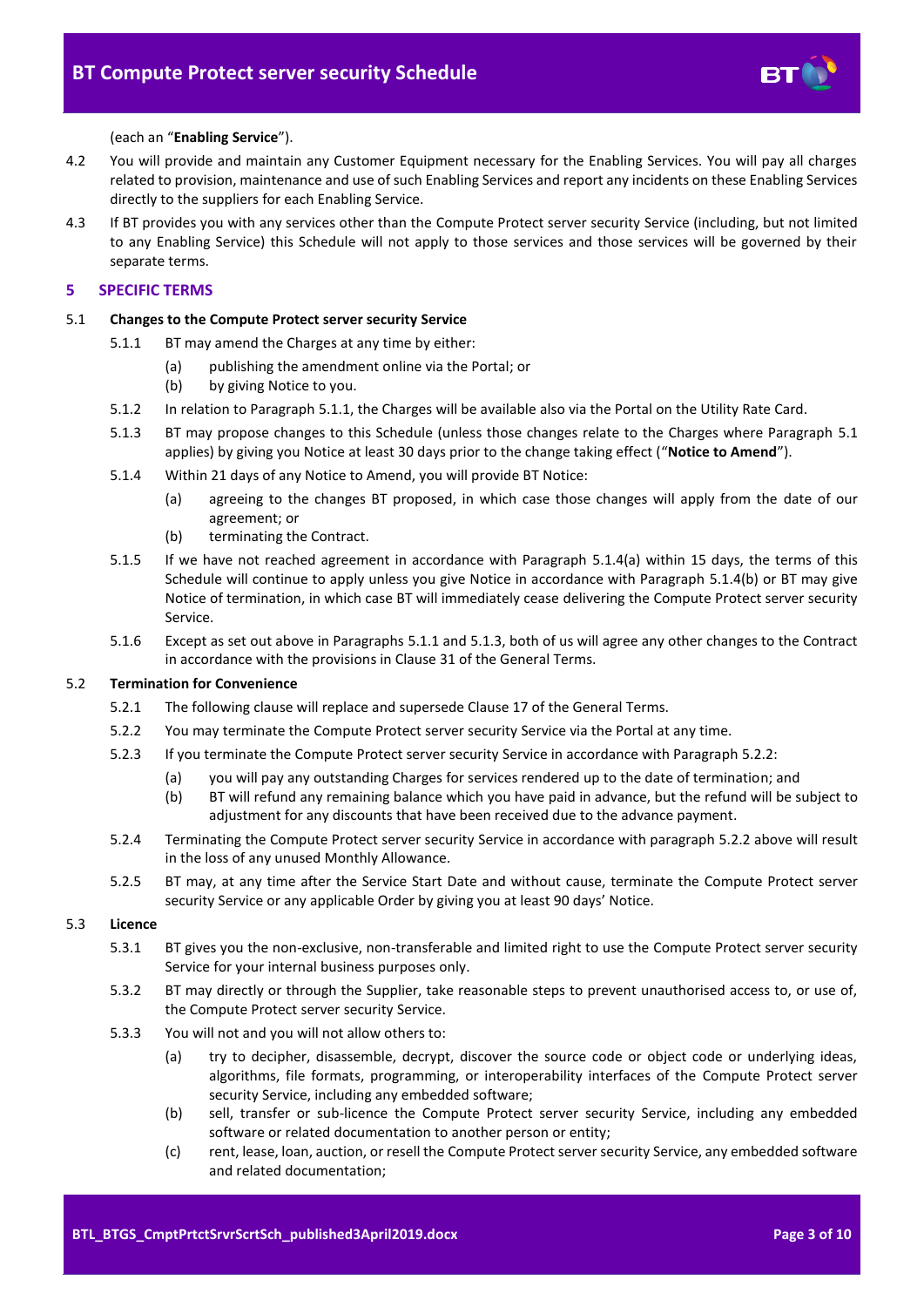

#### (each an "**Enabling Service**").

- 4.2 You will provide and maintain any Customer Equipment necessary for the Enabling Services. You will pay all charges related to provision, maintenance and use of such Enabling Services and report any incidents on these Enabling Services directly to the suppliers for each Enabling Service.
- 4.3 If BT provides you with any services other than the Compute Protect server security Service (including, but not limited to any Enabling Service) this Schedule will not apply to those services and those services will be governed by their separate terms.

# <span id="page-2-0"></span>**5 SPECIFIC TERMS**

#### <span id="page-2-2"></span><span id="page-2-1"></span>5.1 **Changes to the Compute Protect server security Service**

- 5.1.1 BT may amend the Charges at any time by either:
	- (a) publishing the amendment online via the Portal; or
	- (b) by giving Notice to you.
- 5.1.2 In relation to Paragrap[h 5.1.1,](#page-2-1) the Charges will be available also via the Portal on the Utility Rate Card.
- <span id="page-2-5"></span>5.1.3 BT may propose changes to this Schedule (unless those changes relate to the Charges where Paragraph [5.1](#page-2-2) applies) by giving you Notice at least 30 days prior to the change taking effect ("**Notice to Amend**").
- <span id="page-2-3"></span>5.1.4 Within 21 days of any Notice to Amend, you will provide BT Notice:
	- (a) agreeing to the changes BT proposed, in which case those changes will apply from the date of our agreement; or
	- (b) terminating the Contract.
- <span id="page-2-4"></span>5.1.5 If we have not reached agreement in accordance with Paragraph [5.1.4\(a\)](#page-2-3) within 15 days, the terms of this Schedule will continue to apply unless you give Notice in accordance with Paragraph [5.1.4\(b\)](#page-2-4) or BT may give Notice of termination, in which case BT will immediately cease delivering the Compute Protect server security Service.
- 5.1.6 Except as set out above in Paragraphs [5.1.1](#page-2-1) and [5.1.3,](#page-2-5) both of us will agree any other changes to the Contract in accordance with the provisions in Clause 31 of the General Terms.

#### <span id="page-2-6"></span>5.2 **Termination for Convenience**

- 5.2.1 The following clause will replace and supersede Clause 17 of the General Terms.
- 5.2.2 You may terminate the Compute Protect server security Service via the Portal at any time.
- 5.2.3 If you terminate the Compute Protect server security Service in accordance with Paragraph [5.2.2:](#page-2-6)
	- (a) you will pay any outstanding Charges for services rendered up to the date of termination; and
		- (b) BT will refund any remaining balance which you have paid in advance, but the refund will be subject to adjustment for any discounts that have been received due to the advance payment.
- 5.2.4 Terminating the Compute Protect server security Service in accordance with paragraph [5.2.2](#page-2-6) above will result in the loss of any unused Monthly Allowance.
- 5.2.5 BT may, at any time after the Service Start Date and without cause, terminate the Compute Protect server security Service or any applicable Order by giving you at least 90 days' Notice.

# 5.3 **Licence**

- 5.3.1 BT gives you the non-exclusive, non-transferable and limited right to use the Compute Protect server security Service for your internal business purposes only.
- 5.3.2 BT may directly or through the Supplier, take reasonable steps to prevent unauthorised access to, or use of, the Compute Protect server security Service.
- <span id="page-2-7"></span>5.3.3 You will not and you will not allow others to:
	- (a) try to decipher, disassemble, decrypt, discover the source code or object code or underlying ideas, algorithms, file formats, programming, or interoperability interfaces of the Compute Protect server security Service, including any embedded software;
	- (b) sell, transfer or sub-licence the Compute Protect server security Service, including any embedded software or related documentation to another person or entity;
	- (c) rent, lease, loan, auction, or resell the Compute Protect server security Service, any embedded software and related documentation;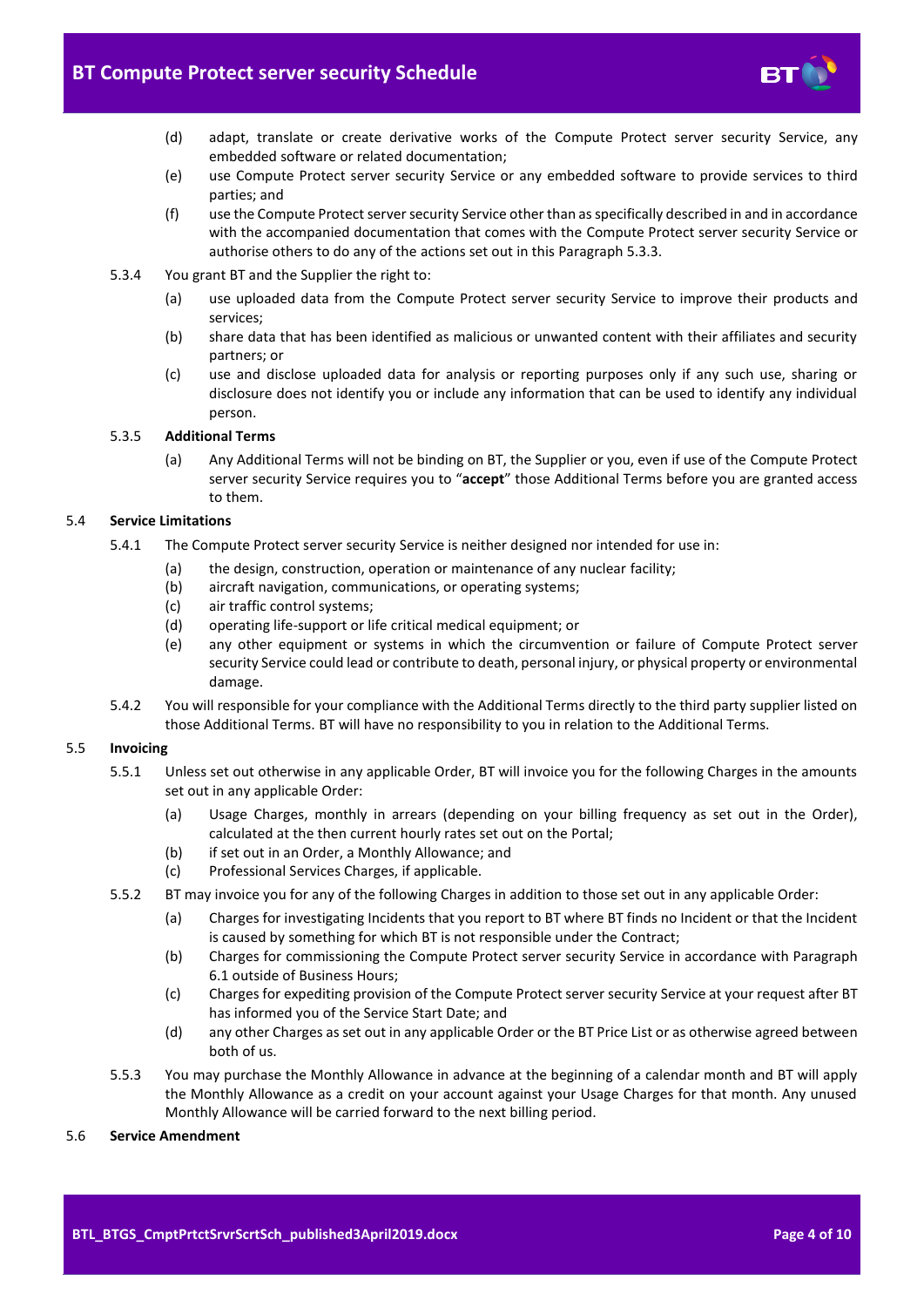

- (d) adapt, translate or create derivative works of the Compute Protect server security Service, any embedded software or related documentation;
- (e) use Compute Protect server security Service or any embedded software to provide services to third parties; and
- (f) use the Compute Protect server security Service other than as specifically described in and in accordance with the accompanied documentation that comes with the Compute Protect server security Service or authorise others to do any of the actions set out in this Paragraph [5.3.3.](#page-2-7)
- 5.3.4 You grant BT and the Supplier the right to:
	- (a) use uploaded data from the Compute Protect server security Service to improve their products and services;
	- (b) share data that has been identified as malicious or unwanted content with their affiliates and security partners; or
	- (c) use and disclose uploaded data for analysis or reporting purposes only if any such use, sharing or disclosure does not identify you or include any information that can be used to identify any individual person.

### 5.3.5 **Additional Terms**

(a) Any Additional Terms will not be binding on BT, the Supplier or you, even if use of the Compute Protect server security Service requires you to "**accept**" those Additional Terms before you are granted access to them.

#### 5.4 **Service Limitations**

- 5.4.1 The Compute Protect server security Service is neither designed nor intended for use in:
	- (a) the design, construction, operation or maintenance of any nuclear facility;
	- (b) aircraft navigation, communications, or operating systems;
	- (c) air traffic control systems;
	- (d) operating life-support or life critical medical equipment; or
	- (e) any other equipment or systems in which the circumvention or failure of Compute Protect server security Service could lead or contribute to death, personal injury, or physical property or environmental damage.
- 5.4.2 You will responsible for your compliance with the Additional Terms directly to the third party supplier listed on those Additional Terms. BT will have no responsibility to you in relation to the Additional Terms.

#### 5.5 **Invoicing**

- 5.5.1 Unless set out otherwise in any applicable Order, BT will invoice you for the following Charges in the amounts set out in any applicable Order:
	- (a) Usage Charges, monthly in arrears (depending on your billing frequency as set out in the Order), calculated at the then current hourly rates set out on the Portal;
	- (b) if set out in an Order, a Monthly Allowance; and
	- (c) Professional Services Charges, if applicable.
- 5.5.2 BT may invoice you for any of the following Charges in addition to those set out in any applicable Order:
	- (a) Charges for investigating Incidents that you report to BT where BT finds no Incident or that the Incident is caused by something for which BT is not responsible under the Contract;
	- (b) Charges for commissioning the Compute Protect server security Service in accordance with Paragraph [6.1](#page-5-3) outside of Business Hours;
	- (c) Charges for expediting provision of the Compute Protect server security Service at your request after BT has informed you of the Service Start Date; and
	- (d) any other Charges as set out in any applicable Order or the BT Price List or as otherwise agreed between both of us.
- 5.5.3 You may purchase the Monthly Allowance in advance at the beginning of a calendar month and BT will apply the Monthly Allowance as a credit on your account against your Usage Charges for that month. Any unused Monthly Allowance will be carried forward to the next billing period.

#### 5.6 **Service Amendment**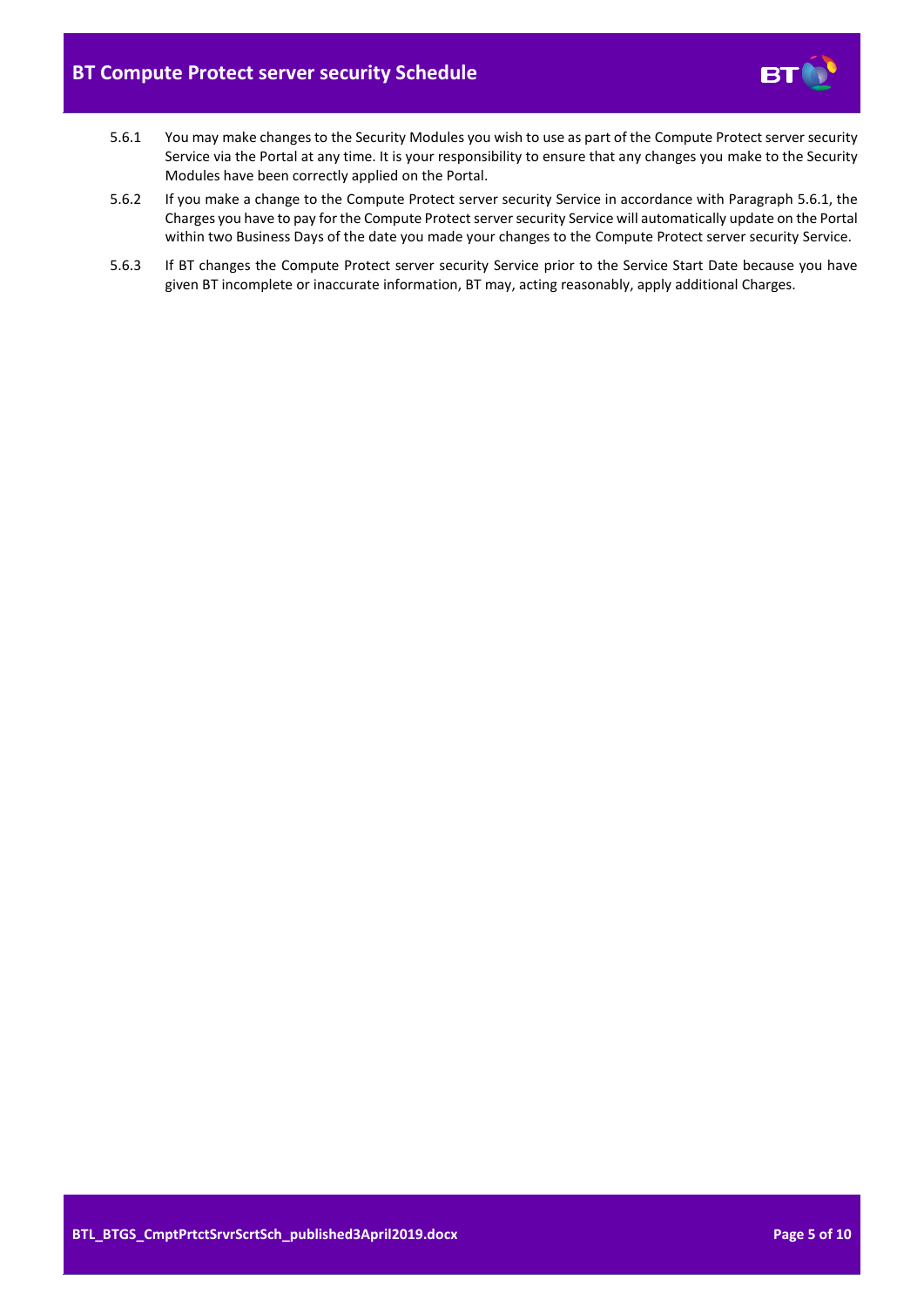

- <span id="page-4-0"></span>5.6.1 You may make changes to the Security Modules you wish to use as part of the Compute Protect server security Service via the Portal at any time. It is your responsibility to ensure that any changes you make to the Security Modules have been correctly applied on the Portal.
- 5.6.2 If you make a change to the Compute Protect server security Service in accordance with Paragraph [5.6.1,](#page-4-0) the Charges you have to pay for the Compute Protect server security Service will automatically update on the Portal within two Business Days of the date you made your changes to the Compute Protect server security Service.
- 5.6.3 If BT changes the Compute Protect server security Service prior to the Service Start Date because you have given BT incomplete or inaccurate information, BT may, acting reasonably, apply additional Charges.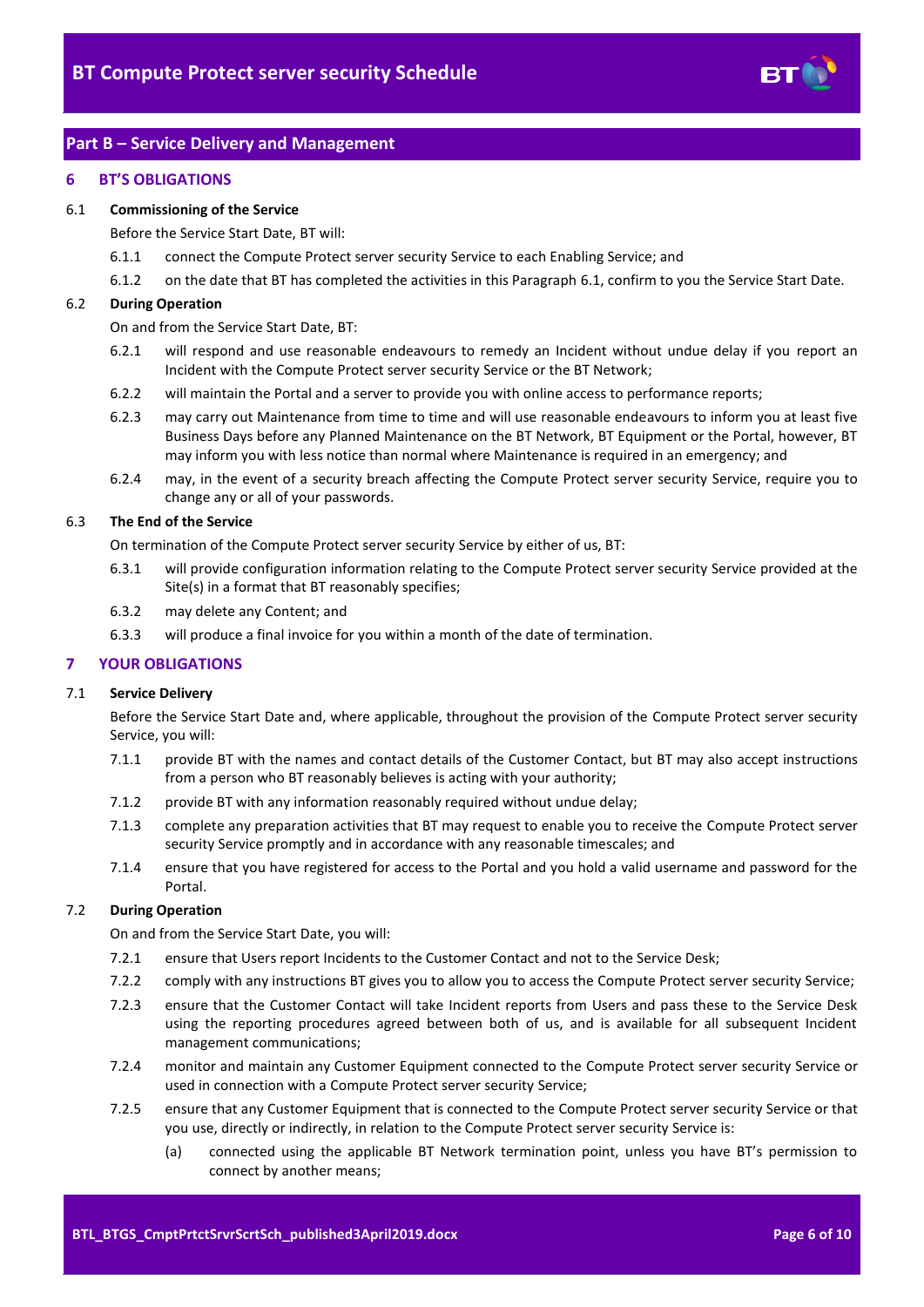

# <span id="page-5-0"></span>**Part B – Service Delivery and Management**

#### <span id="page-5-1"></span>**6 BT'S OBLIGATIONS**

#### <span id="page-5-3"></span>6.1 **Commissioning of the Service**

Before the Service Start Date, BT will:

- 6.1.1 connect the Compute Protect server security Service to each Enabling Service; and
- 6.1.2 on the date that BT has completed the activities in this Paragraph [6.1,](#page-5-3) confirm to you the Service Start Date.

#### 6.2 **During Operation**

On and from the Service Start Date, BT:

- 6.2.1 will respond and use reasonable endeavours to remedy an Incident without undue delay if you report an Incident with the Compute Protect server security Service or the BT Network;
- 6.2.2 will maintain the Portal and a server to provide you with online access to performance reports;
- 6.2.3 may carry out Maintenance from time to time and will use reasonable endeavours to inform you at least five Business Days before any Planned Maintenance on the BT Network, BT Equipment or the Portal, however, BT may inform you with less notice than normal where Maintenance is required in an emergency; and
- 6.2.4 may, in the event of a security breach affecting the Compute Protect server security Service, require you to change any or all of your passwords.

# 6.3 **The End of the Service**

On termination of the Compute Protect server security Service by either of us, BT:

- 6.3.1 will provide configuration information relating to the Compute Protect server security Service provided at the Site(s) in a format that BT reasonably specifies;
- 6.3.2 may delete any Content; and
- 6.3.3 will produce a final invoice for you within a month of the date of termination.

#### <span id="page-5-2"></span>**7 YOUR OBLIGATIONS**

#### 7.1 **Service Delivery**

Before the Service Start Date and, where applicable, throughout the provision of the Compute Protect server security Service, you will:

- 7.1.1 provide BT with the names and contact details of the Customer Contact, but BT may also accept instructions from a person who BT reasonably believes is acting with your authority;
- 7.1.2 provide BT with any information reasonably required without undue delay;
- 7.1.3 complete any preparation activities that BT may request to enable you to receive the Compute Protect server security Service promptly and in accordance with any reasonable timescales; and
- 7.1.4 ensure that you have registered for access to the Portal and you hold a valid username and password for the Portal.

### 7.2 **During Operation**

On and from the Service Start Date, you will:

- 7.2.1 ensure that Users report Incidents to the Customer Contact and not to the Service Desk;
- 7.2.2 comply with any instructions BT gives you to allow you to access the Compute Protect server security Service;
- 7.2.3 ensure that the Customer Contact will take Incident reports from Users and pass these to the Service Desk using the reporting procedures agreed between both of us, and is available for all subsequent Incident management communications;
- 7.2.4 monitor and maintain any Customer Equipment connected to the Compute Protect server security Service or used in connection with a Compute Protect server security Service;
- 7.2.5 ensure that any Customer Equipment that is connected to the Compute Protect server security Service or that you use, directly or indirectly, in relation to the Compute Protect server security Service is:
	- (a) connected using the applicable BT Network termination point, unless you have BT's permission to connect by another means;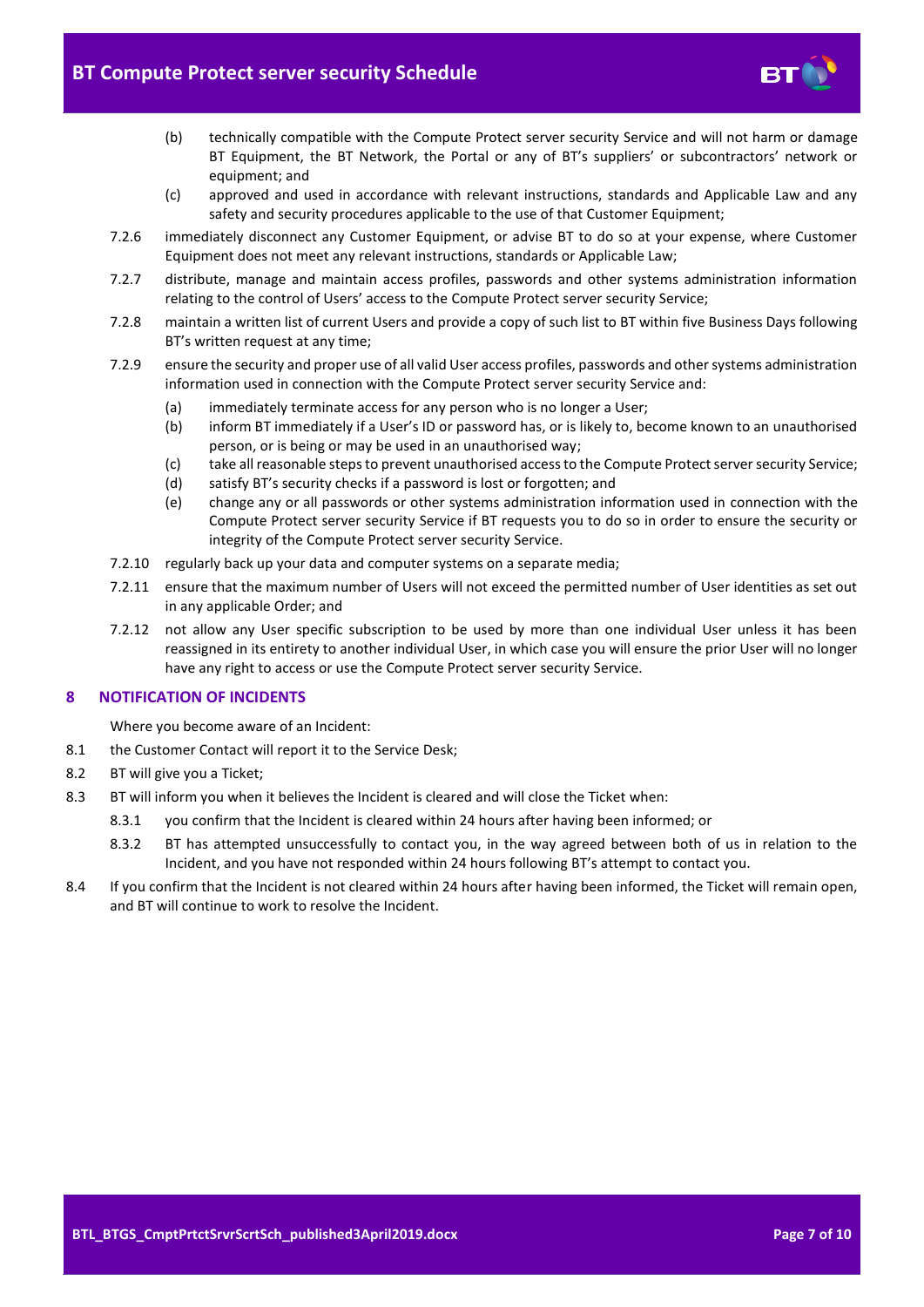

- (b) technically compatible with the Compute Protect server security Service and will not harm or damage BT Equipment, the BT Network, the Portal or any of BT's suppliers' or subcontractors' network or equipment; and
- (c) approved and used in accordance with relevant instructions, standards and Applicable Law and any safety and security procedures applicable to the use of that Customer Equipment;
- 7.2.6 immediately disconnect any Customer Equipment, or advise BT to do so at your expense, where Customer Equipment does not meet any relevant instructions, standards or Applicable Law;
- 7.2.7 distribute, manage and maintain access profiles, passwords and other systems administration information relating to the control of Users' access to the Compute Protect server security Service;
- 7.2.8 maintain a written list of current Users and provide a copy of such list to BT within five Business Days following BT's written request at any time;
- 7.2.9 ensure the security and proper use of all valid User access profiles, passwords and other systems administration information used in connection with the Compute Protect server security Service and:
	- (a) immediately terminate access for any person who is no longer a User;
	- (b) inform BT immediately if a User's ID or password has, or is likely to, become known to an unauthorised person, or is being or may be used in an unauthorised way;
	- (c) take all reasonable steps to prevent unauthorised access to the Compute Protect server security Service;
	- (d) satisfy BT's security checks if a password is lost or forgotten; and
	- (e) change any or all passwords or other systems administration information used in connection with the Compute Protect server security Service if BT requests you to do so in order to ensure the security or integrity of the Compute Protect server security Service.
- 7.2.10 regularly back up your data and computer systems on a separate media;
- 7.2.11 ensure that the maximum number of Users will not exceed the permitted number of User identities as set out in any applicable Order; and
- 7.2.12 not allow any User specific subscription to be used by more than one individual User unless it has been reassigned in its entirety to another individual User, in which case you will ensure the prior User will no longer have any right to access or use the Compute Protect server security Service.

# <span id="page-6-0"></span>**8 NOTIFICATION OF INCIDENTS**

Where you become aware of an Incident:

- 8.1 the Customer Contact will report it to the Service Desk;
- 8.2 BT will give you a Ticket;
- 8.3 BT will inform you when it believes the Incident is cleared and will close the Ticket when:
	- 8.3.1 you confirm that the Incident is cleared within 24 hours after having been informed; or
	- 8.3.2 BT has attempted unsuccessfully to contact you, in the way agreed between both of us in relation to the Incident, and you have not responded within 24 hours following BT's attempt to contact you.
- 8.4 If you confirm that the Incident is not cleared within 24 hours after having been informed, the Ticket will remain open, and BT will continue to work to resolve the Incident.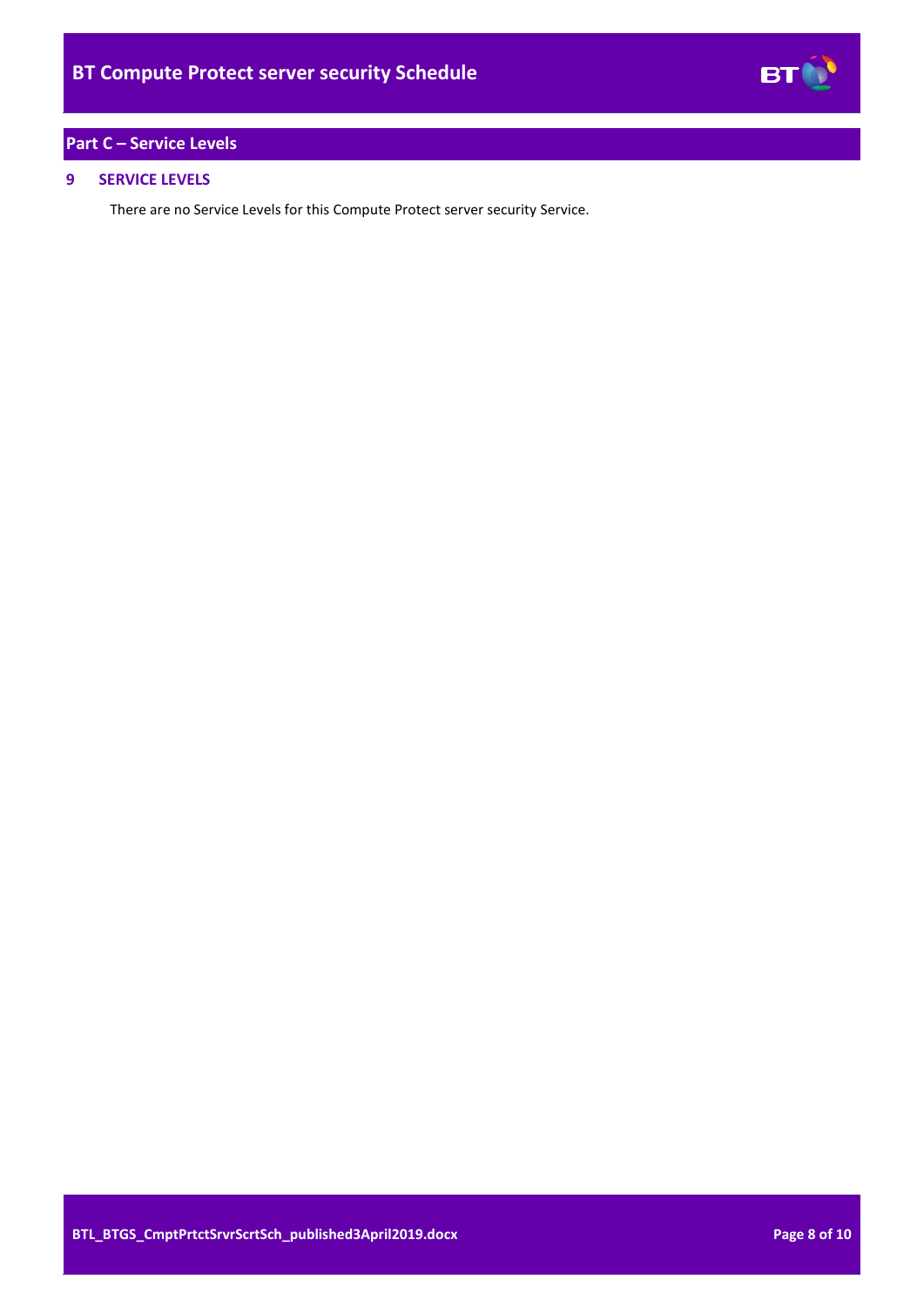# **BT**

# <span id="page-7-0"></span>**Part C – Service Levels**

# <span id="page-7-1"></span>**9 SERVICE LEVELS**

There are no Service Levels for this Compute Protect server security Service.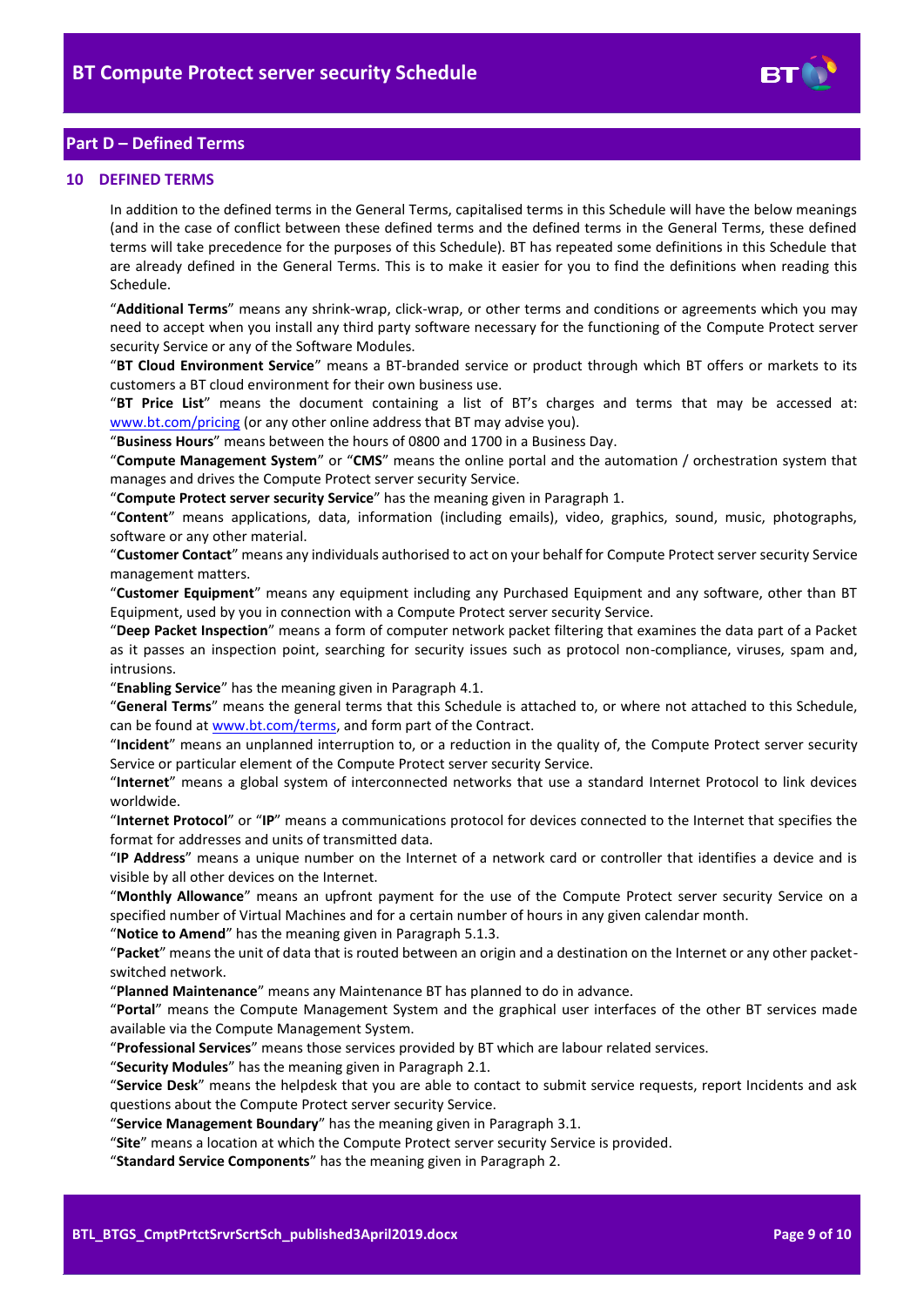

# <span id="page-8-0"></span>**Part D – Defined Terms**

#### <span id="page-8-1"></span>**10 DEFINED TERMS**

In addition to the defined terms in the General Terms, capitalised terms in this Schedule will have the below meanings (and in the case of conflict between these defined terms and the defined terms in the General Terms, these defined terms will take precedence for the purposes of this Schedule). BT has repeated some definitions in this Schedule that are already defined in the General Terms. This is to make it easier for you to find the definitions when reading this Schedule.

"**Additional Terms**" means any shrink-wrap, click-wrap, or other terms and conditions or agreements which you may need to accept when you install any third party software necessary for the functioning of the Compute Protect server security Service or any of the Software Modules.

"**BT Cloud Environment Service**" means a BT-branded service or product through which BT offers or markets to its customers a BT cloud environment for their own business use.

"**BT Price List**" means the document containing a list of BT's charges and terms that may be accessed at: [www.bt.com/pricing](http://www.bt.com/pricing) (or any other online address that BT may advise you).

"**Business Hours**" means between the hours of 0800 and 1700 in a Business Day.

"**Compute Management System**" or "**CMS**" means the online portal and the automation / orchestration system that manages and drives the Compute Protect server security Service.

"**Compute Protect server security Service**" has the meaning given in Paragraph [1.](#page-1-3)

"**Content**" means applications, data, information (including emails), video, graphics, sound, music, photographs, software or any other material.

"**Customer Contact**" means any individuals authorised to act on your behalf for Compute Protect server security Service management matters.

"**Customer Equipment**" means any equipment including any Purchased Equipment and any software, other than BT Equipment, used by you in connection with a Compute Protect server security Service.

"**Deep Packet Inspection**" means a form of computer network packet filtering that examines the data part of a Packet as it passes an inspection point, searching for security issues such as protocol non-compliance, viruses, spam and, intrusions.

"**Enabling Service**" has the meaning given in Paragrap[h 4.1.](#page-1-7)

"**General Terms**" means the general terms that this Schedule is attached to, or where not attached to this Schedule, can be found a[t www.bt.com/terms,](http://www.bt.com/terms) and form part of the Contract.

"**Incident**" means an unplanned interruption to, or a reduction in the quality of, the Compute Protect server security Service or particular element of the Compute Protect server security Service.

"**Internet**" means a global system of interconnected networks that use a standard Internet Protocol to link devices worldwide.

"**Internet Protocol**" or "**IP**" means a communications protocol for devices connected to the Internet that specifies the format for addresses and units of transmitted data.

"**IP Address**" means a unique number on the Internet of a network card or controller that identifies a device and is visible by all other devices on the Internet.

"**Monthly Allowance**" means an upfront payment for the use of the Compute Protect server security Service on a specified number of Virtual Machines and for a certain number of hours in any given calendar month.

"**Notice to Amend**" has the meaning given in Paragraph [5.1.3.](#page-2-5)

"**Packet**" means the unit of data that is routed between an origin and a destination on the Internet or any other packetswitched network.

"**Planned Maintenance**" means any Maintenance BT has planned to do in advance.

"**Portal**" means the Compute Management System and the graphical user interfaces of the other BT services made available via the Compute Management System.

"**Professional Services**" means those services provided by BT which are labour related services.

"**Security Modules**" has the meaning given in Paragraph [2.1.](#page-1-8)

"**Service Desk**" means the helpdesk that you are able to contact to submit service requests, report Incidents and ask questions about the Compute Protect server security Service.

"**Service Management Boundary**" has the meaning given in Paragrap[h 3.1.](#page-1-9)

"**Site**" means a location at which the Compute Protect server security Service is provided.

"**Standard Service Components**" has the meaning given in Paragrap[h 2.](#page-1-4)